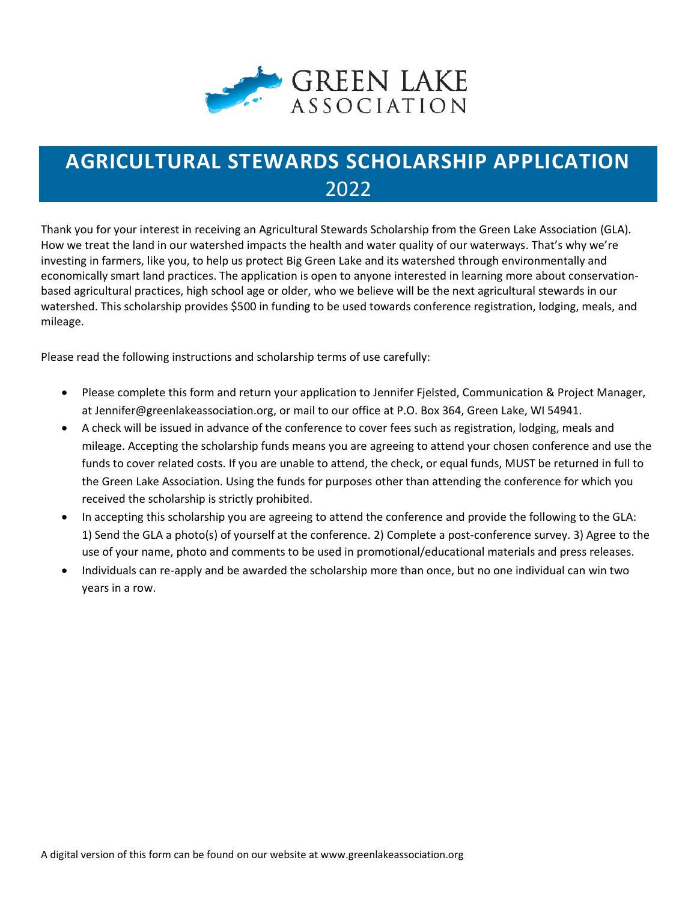

## **AGRICULTURAL STEWARDS SCHOLARSHIP APPLICATION** 2022

Thank you for your interest in receiving an Agricultural Stewards Scholarship from the Green Lake Association (GLA). How we treat the land in our watershed impacts the health and water quality of our waterways. That's why we're investing in farmers, like you, to help us protect Big Green Lake and its watershed through environmentally and economically smart land practices. The application is open to anyone interested in learning more about conservationbased agricultural practices, high school age or older, who we believe will be the next agricultural stewards in our watershed. This scholarship provides \$500 in funding to be used towards conference registration, lodging, meals, and mileage.

Please read the following instructions and scholarship terms of use carefully:

- Please complete this form and return your application to Jennifer Fjelsted, Communication & Project Manager, at Jennifer@greenlakeassociation.org, or mail to our office at P.O. Box 364, Green Lake, WI 54941.
- A check will be issued in advance of the conference to cover fees such as registration, lodging, meals and mileage. Accepting the scholarship funds means you are agreeing to attend your chosen conference and use the funds to cover related costs. If you are unable to attend, the check, or equal funds, MUST be returned in full to the Green Lake Association. Using the funds for purposes other than attending the conference for which you received the scholarship is strictly prohibited.
- In accepting this scholarship you are agreeing to attend the conference and provide the following to the GLA: 1) Send the GLA a photo(s) of yourself at the conference. 2) Complete a post-conference survey. 3) Agree to the use of your name, photo and comments to be used in promotional/educational materials and press releases.
- Individuals can re-apply and be awarded the scholarship more than once, but no one individual can win two years in a row.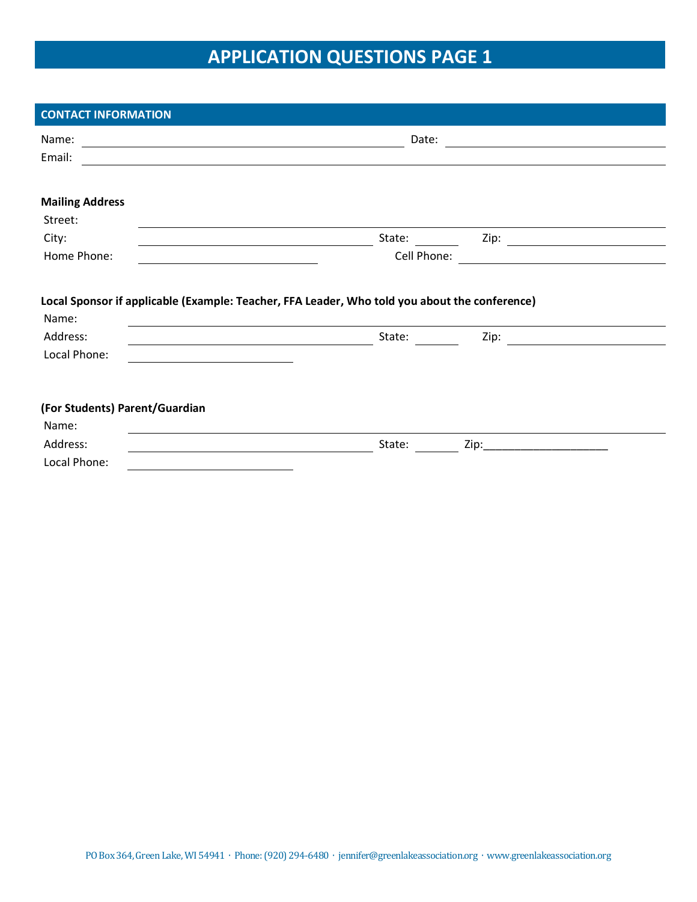# **APPLICATION QUESTIONS PAGE 1**

| <b>CONTACT INFORMATION</b>                                                                                                         |             |                                      |
|------------------------------------------------------------------------------------------------------------------------------------|-------------|--------------------------------------|
| Name:<br><u> 1989 - Johann Stein, mars an deutscher Stein und der Stein und der Stein und der Stein und der Stein und der</u>      | Date:       |                                      |
| Email:                                                                                                                             |             |                                      |
|                                                                                                                                    |             |                                      |
| <b>Mailing Address</b>                                                                                                             |             |                                      |
| Street:                                                                                                                            |             |                                      |
| City:<br><u> 1989 - Johann Stoff, deutscher Stoffen und der Stoffen und der Stoffen und der Stoffen und der Stoffen und der</u>    | State:      | $\mathsf{Zip:}\ \_\_\_\_\_\_\_\_\_\$ |
| Home Phone:                                                                                                                        | Cell Phone: |                                      |
| Local Sponsor if applicable (Example: Teacher, FFA Leader, Who told you about the conference)<br>Name:                             |             |                                      |
| Address:<br><u> 2000 - Andrea Andrew Maria (h. 18</u>                                                                              | State:      | Zip:                                 |
| Local Phone:                                                                                                                       |             |                                      |
|                                                                                                                                    |             |                                      |
| (For Students) Parent/Guardian                                                                                                     |             |                                      |
| Name:                                                                                                                              |             |                                      |
| Address:<br><u> 1989 - Johann Stoff, deutscher Stoffen und der Stoffen und der Stoffen und der Stoffen und der Stoffen und der</u> | State:      | Zip:                                 |
| Local Phone:                                                                                                                       |             |                                      |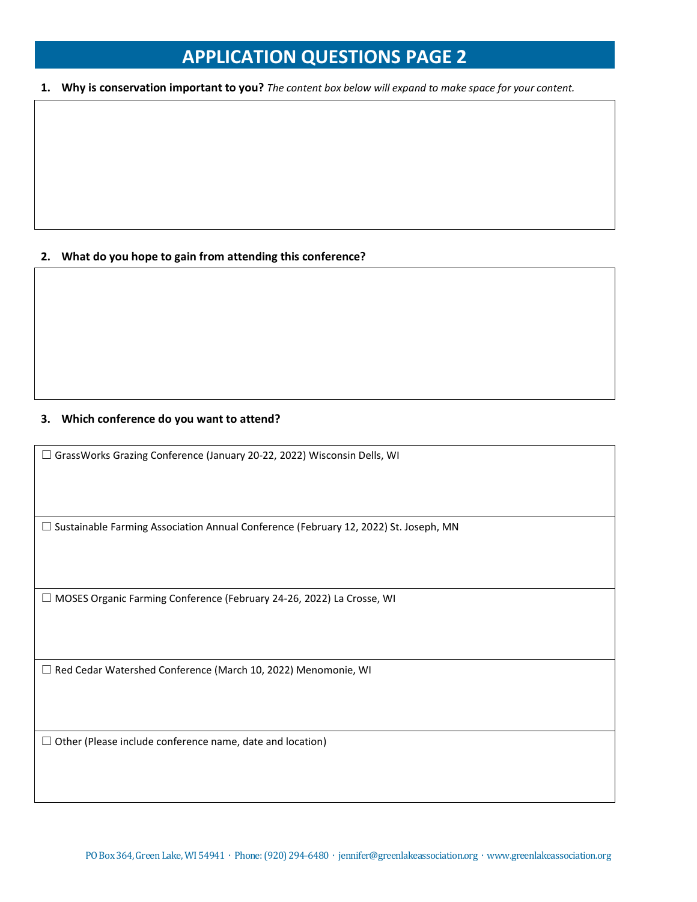### **APPLICATION QUESTIONS PAGE 2**

**1. Why is conservation important to you?** *The content box below will expand to make space for your content.*

### **2. What do you hope to gain from attending this conference?**

#### **3. Which conference do you want to attend?**

☐ GrassWorks Grazing Conference (January 20-22, 2022) Wisconsin Dells, WI

☐ Sustainable Farming Association Annual Conference (February 12, 2022) St. Joseph, MN

☐ MOSES Organic Farming Conference (February 24-26, 2022) La Crosse, WI

☐ Red Cedar Watershed Conference (March 10, 2022) Menomonie, WI

 $\Box$  Other (Please include conference name, date and location)